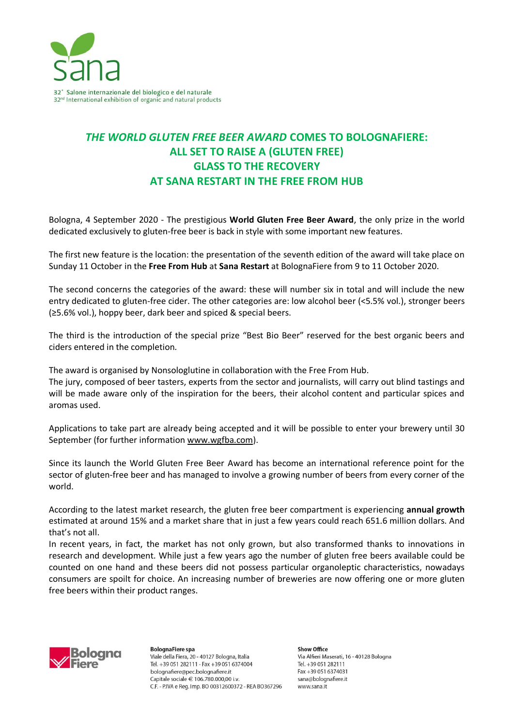

## *THE WORLD GLUTEN FREE BEER AWARD* **COMES TO BOLOGNAFIERE: ALL SET TO RAISE A (GLUTEN FREE) GLASS TO THE RECOVERY AT SANA RESTART IN THE FREE FROM HUB**

Bologna, 4 September 2020 - The prestigious **World Gluten Free Beer Award**, the only prize in the world dedicated exclusively to gluten-free beer is back in style with some important new features.

The first new feature is the location: the presentation of the seventh edition of the award will take place on Sunday 11 October in the **Free From Hub** at **Sana Restart** at BolognaFiere from 9 to 11 October 2020.

The second concerns the categories of the award: these will number six in total and will include the new entry dedicated to gluten-free cider. The other categories are: low alcohol beer (<5.5% vol.), stronger beers (≥5.6% vol.), hoppy beer, dark beer and spiced & special beers.

The third is the introduction of the special prize "Best Bio Beer" reserved for the best organic beers and ciders entered in the completion*.*

The award is organised by Nonsologlutine in collaboration with the Free From Hub.

The jury, composed of beer tasters, experts from the sector and journalists, will carry out blind tastings and will be made aware only of the inspiration for the beers, their alcohol content and particular spices and aromas used.

Applications to take part are already being accepted and it will be possible to enter your brewery until 30 September (for further information [www.wgfba.com\)](https://www.wgfba.com/).

Since its launch the World Gluten Free Beer Award has become an international reference point for the sector of gluten-free beer and has managed to involve a growing number of beers from every corner of the world.

According to the latest market research, the gluten free beer compartment is experiencing **annual growth** estimated at around 15% and a market share that in just a few years could reach 651.6 million dollars. And that's not all.

In recent years, in fact, the market has not only grown, but also transformed thanks to innovations in research and development. While just a few years ago the number of gluten free beers available could be counted on one hand and these beers did not possess particular organoleptic characteristics, nowadays consumers are spoilt for choice. An increasing number of breweries are now offering one or more gluten free beers within their product ranges.



**BolognaFiere spa** Viale della Fiera, 20 - 40127 Bologna, Italia Tel. +39 051 282111 - Fax +39 051 6374004 bolognafiere@pec.bolognafiere.it Capitale sociale € 106.780.000.00 i.v. C.F. - P.IVA e Reg. Imp. BO 00312600372 - REA BO367296

Show Office Via Alfieri Maserati, 16 - 40128 Bologna Tel. +39 051 282111 Fax +39 051 6374031 sana@bolognafiere.it www.sana.it